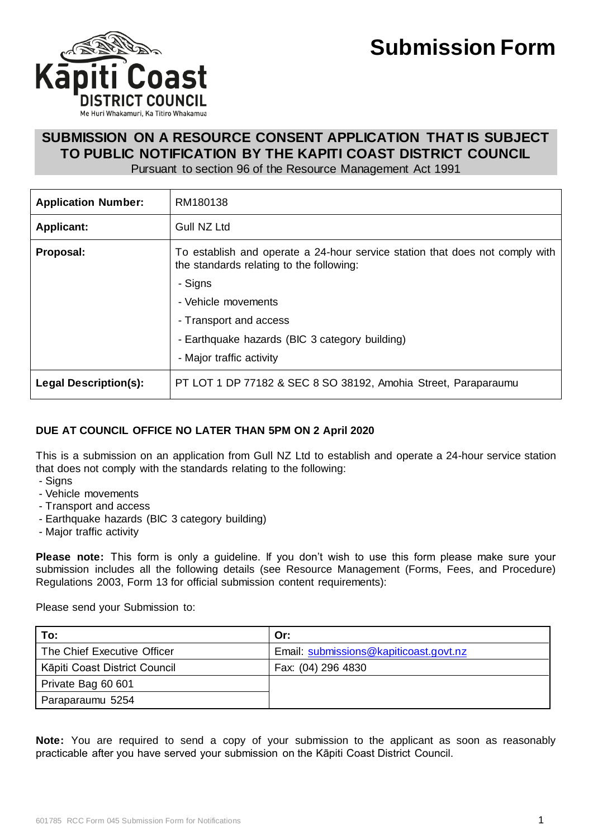

# **SUBMISSION ON A RESOURCE CONSENT APPLICATION THAT IS SUBJECT TO PUBLIC NOTIFICATION BY THE KAPITI COAST DISTRICT COUNCIL**

Pursuant to section 96 of the Resource Management Act 1991

| <b>Application Number:</b>   | RM180138                                                                                                                 |  |
|------------------------------|--------------------------------------------------------------------------------------------------------------------------|--|
| <b>Applicant:</b>            | Gull NZ Ltd                                                                                                              |  |
| Proposal:                    | To establish and operate a 24-hour service station that does not comply with<br>the standards relating to the following: |  |
|                              | - Signs                                                                                                                  |  |
|                              | - Vehicle movements                                                                                                      |  |
|                              | - Transport and access                                                                                                   |  |
|                              | - Earthquake hazards (BIC 3 category building)                                                                           |  |
|                              | - Major traffic activity                                                                                                 |  |
| <b>Legal Description(s):</b> | PT LOT 1 DP 77182 & SEC 8 SO 38192, Amohia Street, Paraparaumu                                                           |  |

## **DUE AT COUNCIL OFFICE NO LATER THAN 5PM ON 2 April 2020**

This is a submission on an application from Gull NZ Ltd to establish and operate a 24-hour service station that does not comply with the standards relating to the following:

- Signs
- Vehicle movements
- Transport and access
- Earthquake hazards (BIC 3 category building)
- Major traffic activity

**Please note:** This form is only a guideline. If you don't wish to use this form please make sure your submission includes all the following details (see Resource Management (Forms, Fees, and Procedure) Regulations 2003, Form 13 for official submission content requirements):

Please send your Submission to:

| To:                           | Or:                                    |
|-------------------------------|----------------------------------------|
| The Chief Executive Officer   | Email: submissions@kapiticoast.govt.nz |
| Kāpiti Coast District Council | Fax: (04) 296 4830                     |
| Private Bag 60 601            |                                        |
| Paraparaumu 5254              |                                        |

**Note:** You are required to send a copy of your submission to the applicant as soon as reasonably practicable after you have served your submission on the Kāpiti Coast District Council.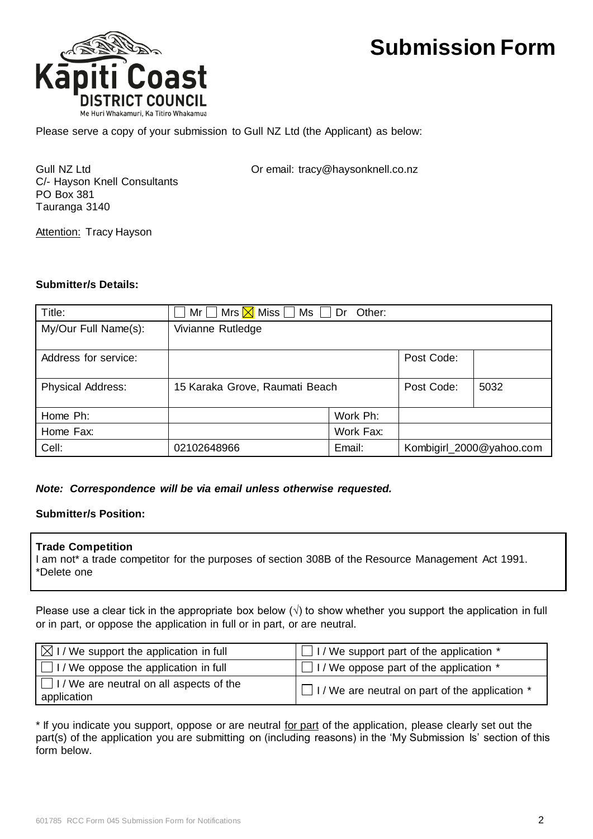

Please serve a copy of your submission to Gull NZ Ltd (the Applicant) as below:

C/- Hayson Knell Consultants PO Box 381 Tauranga 3140

Gull NZ Ltd **Call Community** Or email: tracy@haysonknell.co.nz

**Attention: Tracy Hayson** 

#### **Submitter/s Details:**

| Title:                   | $\Box$ Mr $\Box$ Mrs $\overline{\boxtimes}$ Miss $\Box$ Ms $\Box$ Dr Other: |           |                          |      |
|--------------------------|-----------------------------------------------------------------------------|-----------|--------------------------|------|
| My/Our Full Name(s):     | Vivianne Rutledge                                                           |           |                          |      |
| Address for service:     |                                                                             |           | Post Code:               |      |
| <b>Physical Address:</b> | 15 Karaka Grove, Raumati Beach                                              |           | Post Code:               | 5032 |
| Home Ph:                 |                                                                             | Work Ph:  |                          |      |
| Home Fax:                |                                                                             | Work Fax: |                          |      |
| Cell:                    | 02102648966                                                                 | Email:    | Kombigirl_2000@yahoo.com |      |

### *Note: Correspondence will be via email unless otherwise requested.*

### **Submitter/s Position:**

#### **Trade Competition**

I am not\* a trade competitor for the purposes of section 308B of the Resource Management Act 1991. \*Delete one

Please use a clear tick in the appropriate box below  $(\sqrt{})$  to show whether you support the application in full or in part, or oppose the application in full or in part, or are neutral.

| $\boxtimes$ I / We support the application in full             | $\Box$ I / We support part of the application $*$      |  |
|----------------------------------------------------------------|--------------------------------------------------------|--|
| $\Box$ I / We oppose the application in full                   | $\Box$ I / We oppose part of the application $*$       |  |
| $\Box$ I / We are neutral on all aspects of the<br>application | $\Box$ I/We are neutral on part of the application $*$ |  |

\* If you indicate you support, oppose or are neutral for part of the application, please clearly set out the part(s) of the application you are submitting on (including reasons) in the 'My Submission Is' section of this form below.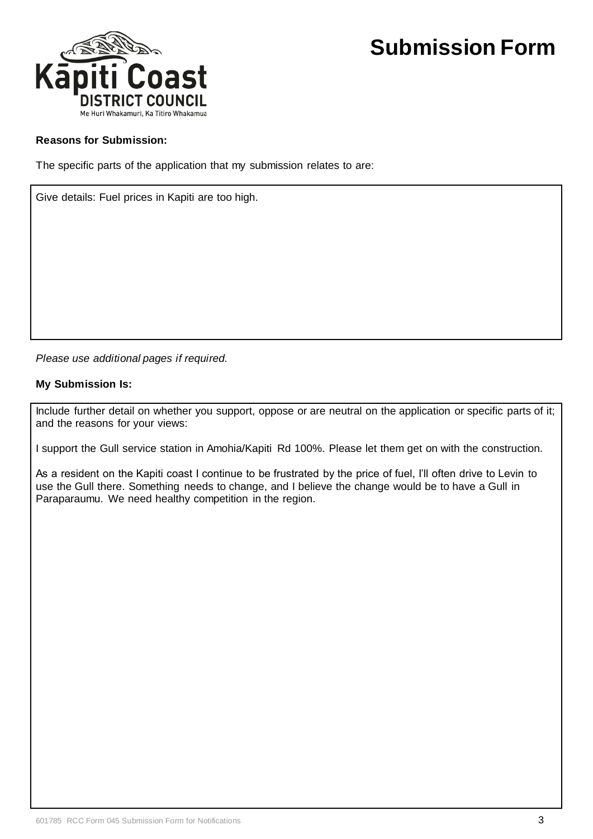

### **Reasons for Submission:**

The specific parts of the application that my submission relates to are:

Give details: Fuel prices in Kapiti are too high.

*Please use additional pages if required.*

#### **My Submission Is:**

Include further detail on whether you support, oppose or are neutral on the application or specific parts of it; and the reasons for your views:

I support the Gull service station in Amohia/Kapiti Rd 100%. Please let them get on with the construction.

As a resident on the Kapiti coast I continue to be frustrated by the price of fuel, I'll often drive to Levin to use the Gull there. Something needs to change, and I believe the change would be to have a Gull in Paraparaumu. We need healthy competition in the region.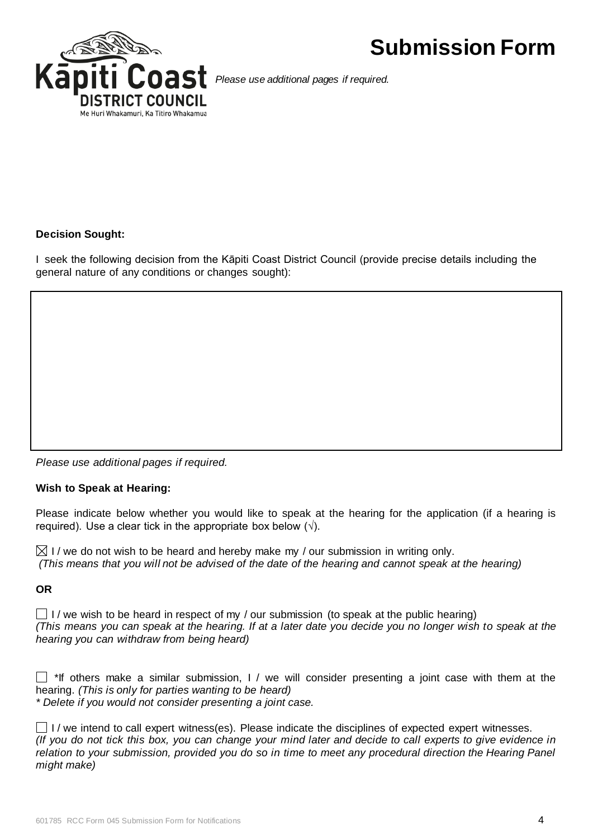

*Please use additional pages if required.*

### **Decision Sought:**

I seek the following decision from the Kāpiti Coast District Council (provide precise details including the general nature of any conditions or changes sought):

*Please use additional pages if required.*

#### **Wish to Speak at Hearing:**

Please indicate below whether you would like to speak at the hearing for the application (if a hearing is required). Use a clear tick in the appropriate box below  $(\sqrt{)}$ .

 $\boxtimes$  I / we do not wish to be heard and hereby make my / our submission in writing only. *(This means that you will not be advised of the date of the hearing and cannot speak at the hearing)*

#### **OR**

 $\Box$  I / we wish to be heard in respect of my / our submission (to speak at the public hearing) *(This means you can speak at the hearing. If at a later date you decide you no longer wish to speak at the hearing you can withdraw from being heard)*

 $\Box$  \*If others make a similar submission, I / we will consider presenting a joint case with them at the hearing. *(This is only for parties wanting to be heard) \* Delete if you would not consider presenting a joint case.*

 $\Box$  I / we intend to call expert witness(es). Please indicate the disciplines of expected expert witnesses. *(If you do not tick this box, you can change your mind later and decide to call experts to give evidence in relation to your submission, provided you do so in time to meet any procedural direction the Hearing Panel might make)*